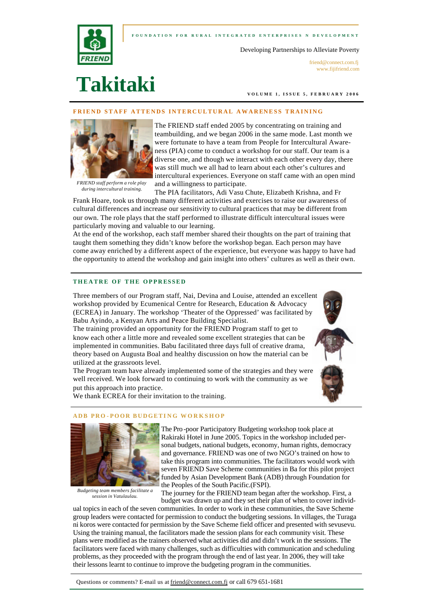### **FOUNDATION FOR RURAL INTEGRATED ENTERPRI SES N DEVELOPMENT**



Developing Partnerships to Alleviate Poverty

friend@connect.com.fi www.fijifriend.com

# **Takitaki**

**VOLUME 1, ISSUE 5, F EBRUARY 2006** 

### **STAFF ATTENDS INTERCULTURAL AWARENESS TRAINING**



*FRIEND staff perform a role play during intercultural training.*

The FRIEND staff ended 2005 by concentrating on training and teambuilding, and we began 2006 in the same mode. Last month we were fortunate to have a team from People for Intercultural Awareness (PIA) come to conduct a workshop for our staff. Our team is a diverse one, and though we interact with each other every day, there was still much we all had to learn about each other's cultures and intercultural experiences. Everyone on staff came with an open mind and a willingness to participate.

The PIA facilitators, Adi Vasu Chute, Elizabeth Krishna, and Fr Frank Hoare, took us through many different activities and exercises to raise our awareness of cultural differences and increase our sensitivity to cultural practices that may be different from our own. The role plays that the staff performed to illustrate difficult intercultural issues were particularly moving and valuable to our learning.

At the end of the workshop, each staff member shared their thoughts on the part of training that taught them something they didn't know before the workshop began. Each person may have come away enriched by a different aspect of the experience, but everyone was happy to have had the opportunity to attend the workshop and gain insight into others' cultures as well as their own.

### **THEATRE OF THE OPPRESSED**

Three members of our Program staff, Nai, Devina and Louise, attended an excellent workshop provided by Ecumenical Centre for Research, Education & Advocacy (ECREA) in January. The workshop 'Theater of the Oppressed' was facilitated by Babu Ayindo, a Kenyan Arts and Peace Building Specialist.

The training provided an opportunity for the FRIEND Program staff to get to know each other a little more and revealed some excellent strategies that can be implemented in communities. Babu facilitated three days full of creative drama, theory based on Augusta Boal and healthy discussion on how the material can be utilized at the grassroots level.

The Program team have already implemented some of the strategies and they were well received. We look forward to continuing to work with the community as we put this approach into practice.

We thank ECREA for their invitation to the training.

#### **ADB PRO - POOR BUDGETI NG WORKSHOP**



*Budgeting team members facilitate a session in Vatulaulau.*

The Pro-poor Participatory Budgeting workshop took place at Rakiraki Hotel in June 2005. Topics in the workshop included personal budgets, national budgets, economy, human rights, democracy and governance. FRIEND was one of two NGO's trained on how to take this program into communities. The facilitators would work with seven FRIEND Save Scheme communities in Ba for this pilot project funded by Asian Development Bank (ADB) through Foundation for the Peoples of the South Pacific.(FSPI).

The journey for the FRIEND team began after the workshop. First, a budget was drawn up and they set their plan of when to cover individ-

ual topics in each of the seven communities. In order to work in these communities, the Save Scheme group leaders were contacted for permission to conduct the budgeting sessions. In villages, the Turaga ni koros were contacted for permission by the Save Scheme field officer and presented with sevusevu. Using the training manual, the facilitators made the session plans for each community visit. These plans were modified as the trainers observed what activities did and didn't work in the sessions. The facilitators were faced with many challenges, such as difficulties with communication and scheduling problems, as they proceeded with the program through the end of last year. In 2006, they will take their lessons learnt to continue to improve the budgeting program in the communities.